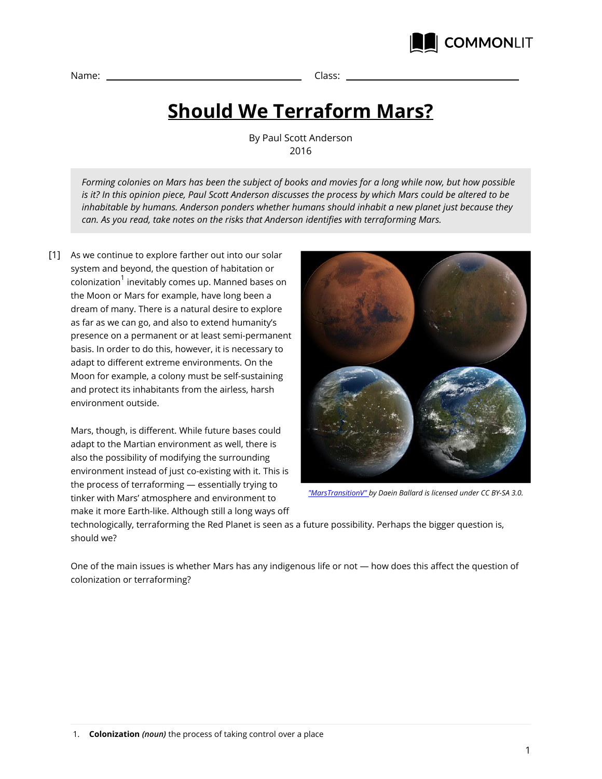

Name: Class:

## **Should We Terraform Mars?**

By Paul Scott Anderson 2016

*Forming colonies on Mars has been the subject of books and movies for a long while now, but how possible is it? In this opinion piece, Paul Scott Anderson discusses the process by which Mars could be altered to be inhabitable by humans. Anderson ponders whether humans should inhabit a new planet just because they can. As you read, take notes on the risks that Anderson identifies with terraforming Mars.*

As we continue to explore farther out into our solar [1] system and beyond, the question of habitation or colonization $^{\rm 1}$  inevitably comes up. Manned bases on the Moon or Mars for example, have long been a dream of many. There is a natural desire to explore as far as we can go, and also to extend humanity's presence on a permanent or at least semi-permanent basis. In order to do this, however, it is necessary to adapt to different extreme environments. On the Moon for example, a colony must be self-sustaining and protect its inhabitants from the airless, harsh environment outside.

Mars, though, is different. While future bases could adapt to the Martian environment as well, there is also the possibility of modifying the surrounding environment instead of just co-existing with it. This is the process of terraforming — essentially trying to tinker with Mars' atmosphere and environment to make it more Earth-like. Although still a long ways off



*"MarsTransitionV" by Daein Ballard is licensed under CC BY-SA 3.0.*

technologically, terraforming the Red Planet is seen as a future possibility. Perhaps the bigger question is, should we?

One of the main issues is whether Mars has any indigenous life or not — how does this affect the question of colonization or terraforming?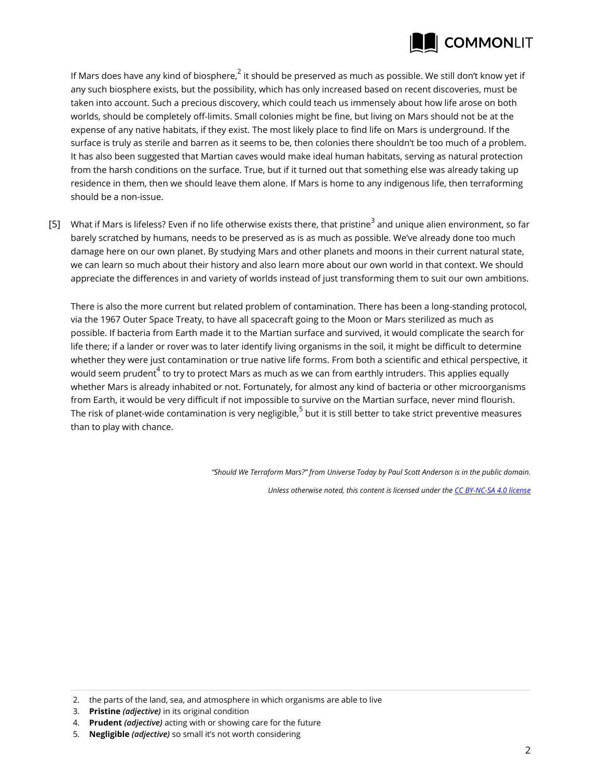

If Mars does have any kind of biosphere, $^2$  it should be preserved as much as possible. We still don't know yet if any such biosphere exists, but the possibility, which has only increased based on recent discoveries, must be taken into account. Such a precious discovery, which could teach us immensely about how life arose on both worlds, should be completely off-limits. Small colonies might be fine, but living on Mars should not be at the expense of any native habitats, if they exist. The most likely place to find life on Mars is underground. If the surface is truly as sterile and barren as it seems to be, then colonies there shouldn't be too much of a problem. It has also been suggested that Martian caves would make ideal human habitats, serving as natural protection from the harsh conditions on the surface. True, but if it turned out that something else was already taking up residence in them, then we should leave them alone. If Mars is home to any indigenous life, then terraforming should be a non-issue.

[5] What if Mars is lifeless? Even if no life otherwise exists there, that pristine $^3$  and unique alien environment, so far barely scratched by humans, needs to be preserved as is as much as possible. We've already done too much damage here on our own planet. By studying Mars and other planets and moons in their current natural state, we can learn so much about their history and also learn more about our own world in that context. We should appreciate the differences in and variety of worlds instead of just transforming them to suit our own ambitions.

There is also the more current but related problem of contamination. There has been a long-standing protocol, via the 1967 Outer Space Treaty, to have all spacecraft going to the Moon or Mars sterilized as much as possible. If bacteria from Earth made it to the Martian surface and survived, it would complicate the search for life there; if a lander or rover was to later identify living organisms in the soil, it might be difficult to determine whether they were just contamination or true native life forms. From both a scientific and ethical perspective, it would seem prudent $^4$  to try to protect Mars as much as we can from earthly intruders. This applies equally whether Mars is already inhabited or not. Fortunately, for almost any kind of bacteria or other microorganisms from Earth, it would be very difficult if not impossible to survive on the Martian surface, never mind flourish. The risk of planet-wide contamination is very negligible, $^5$  but it is still better to take strict preventive measures than to play with chance.

*"Should We Terraform Mars?" from Universe Today by Paul Scott Anderson is in the public domain.*

*Unless otherwise noted, this content is licensed under the CC BY-NC-SA 4.0 license*

- 3. **Pristine** *(adjective)* in its original condition
- 4. **Prudent** *(adjective)* acting with or showing care for the future
- 5. **Negligible** *(adjective)* so small it's not worth considering

<sup>2.</sup> the parts of the land, sea, and atmosphere in which organisms are able to live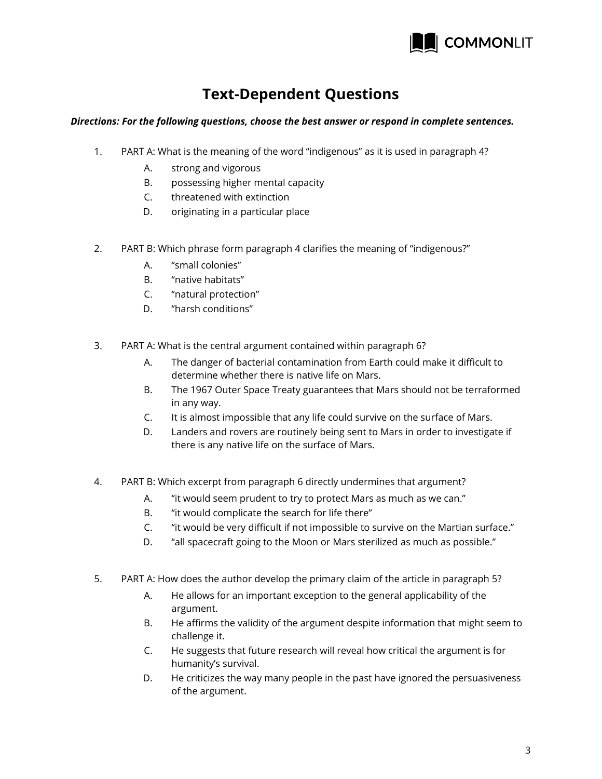

## **Text-Dependent Questions**

## *Directions: For the following questions, choose the best answer or respond in complete sentences.*

- 1. PART A: What is the meaning of the word "indigenous" as it is used in paragraph 4?
	- A. strong and vigorous
	- B. possessing higher mental capacity
	- C. threatened with extinction
	- D. originating in a particular place
- 2. PART B: Which phrase form paragraph 4 clarifies the meaning of "indigenous?"
	- A. "small colonies"
	- B. "native habitats"
	- C. "natural protection"
	- D. "harsh conditions"
- 3. PART A: What is the central argument contained within paragraph 6?
	- A. The danger of bacterial contamination from Earth could make it difficult to determine whether there is native life on Mars.
	- B. The 1967 Outer Space Treaty guarantees that Mars should not be terraformed in any way.
	- C. It is almost impossible that any life could survive on the surface of Mars.
	- D. Landers and rovers are routinely being sent to Mars in order to investigate if there is any native life on the surface of Mars.
- 4. PART B: Which excerpt from paragraph 6 directly undermines that argument?
	- A. "it would seem prudent to try to protect Mars as much as we can."
	- B. "it would complicate the search for life there"
	- C. "it would be very difficult if not impossible to survive on the Martian surface."
	- D. "all spacecraft going to the Moon or Mars sterilized as much as possible."
- 5. PART A: How does the author develop the primary claim of the article in paragraph 5?
	- A. He allows for an important exception to the general applicability of the argument.
	- B. He affirms the validity of the argument despite information that might seem to challenge it.
	- C. He suggests that future research will reveal how critical the argument is for humanity's survival.
	- D. He criticizes the way many people in the past have ignored the persuasiveness of the argument.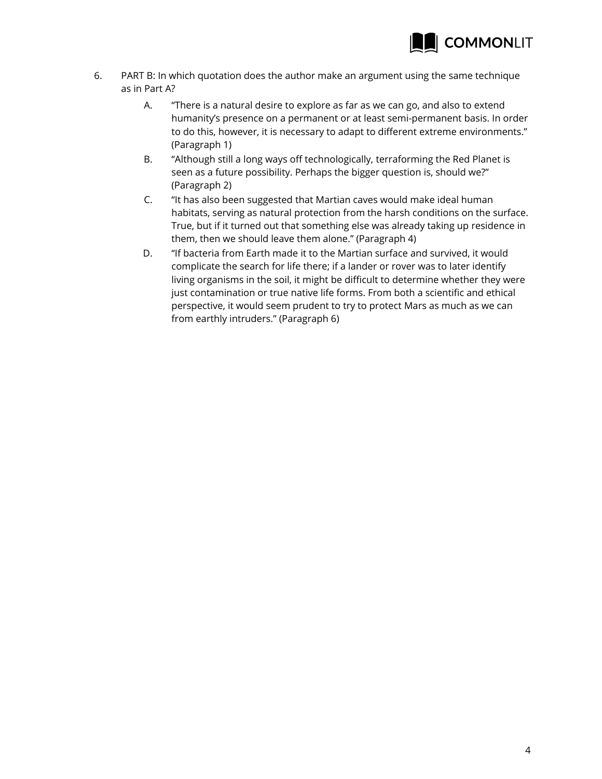

- 6. PART B: In which quotation does the author make an argument using the same technique as in Part A?
	- A. "There is a natural desire to explore as far as we can go, and also to extend humanity's presence on a permanent or at least semi-permanent basis. In order to do this, however, it is necessary to adapt to different extreme environments." (Paragraph 1)
	- B. "Although still a long ways off technologically, terraforming the Red Planet is seen as a future possibility. Perhaps the bigger question is, should we?" (Paragraph 2)
	- C. "It has also been suggested that Martian caves would make ideal human habitats, serving as natural protection from the harsh conditions on the surface. True, but if it turned out that something else was already taking up residence in them, then we should leave them alone." (Paragraph 4)
	- D. "If bacteria from Earth made it to the Martian surface and survived, it would complicate the search for life there; if a lander or rover was to later identify living organisms in the soil, it might be difficult to determine whether they were just contamination or true native life forms. From both a scientific and ethical perspective, it would seem prudent to try to protect Mars as much as we can from earthly intruders." (Paragraph 6)